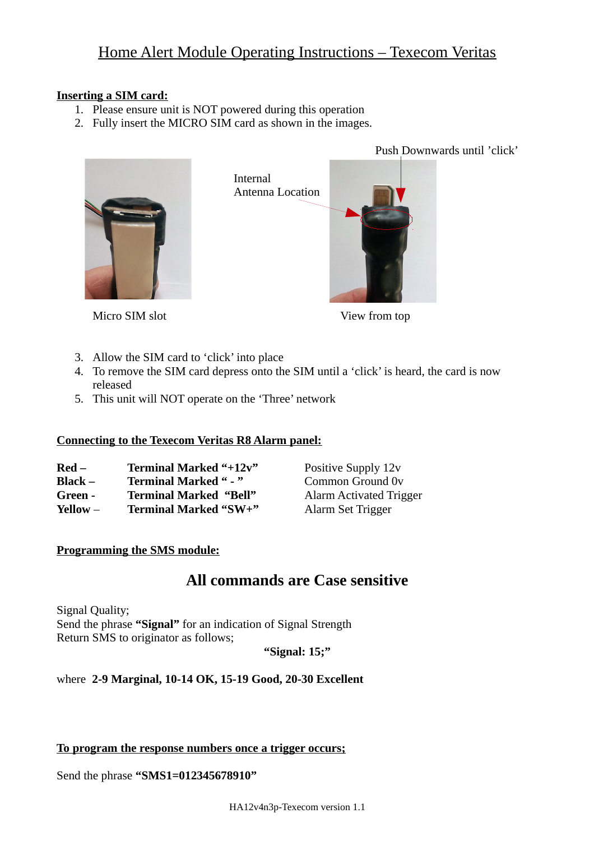# Home Alert Module Operating Instructions – Texecom Veritas

### **Inserting a SIM card:**

- 1. Please ensure unit is NOT powered during this operation
- 2. Fully insert the MICRO SIM card as shown in the images.

Internal



Antenna Location

Push Downwards until 'click'

Micro SIM slot View from top

- 3. Allow the SIM card to 'click' into place
- 4. To remove the SIM card depress onto the SIM until a 'click' is heard, the card is now released
- 5. This unit will NOT operate on the 'Three' network

## **Connecting to the Texecom Veritas R8 Alarm panel:**

| $\bf{Red}$ – | Terminal Marked "+12v"        |
|--------------|-------------------------------|
| Black –      | <b>Terminal Marked " - "</b>  |
| Green -      | <b>Terminal Marked "Bell"</b> |
| Yellow $-$   | Terminal Marked "SW+"         |

Positive Supply 12v **Common Ground 0v** Alarm Activated Trigger **Marked "SW+"** Alarm Set Trigger

## **Programming the SMS module:**

## **All commands are Case sensitive**

Signal Quality; Send the phrase **"Signal"** for an indication of Signal Strength Return SMS to originator as follows;

**"Signal: 15;"**

## where **2-9 Marginal, 10-14 OK, 15-19 Good, 20-30 Excellent**

#### **To program the response numbers once a trigger occurs;**

Send the phrase **"SMS1=012345678910"**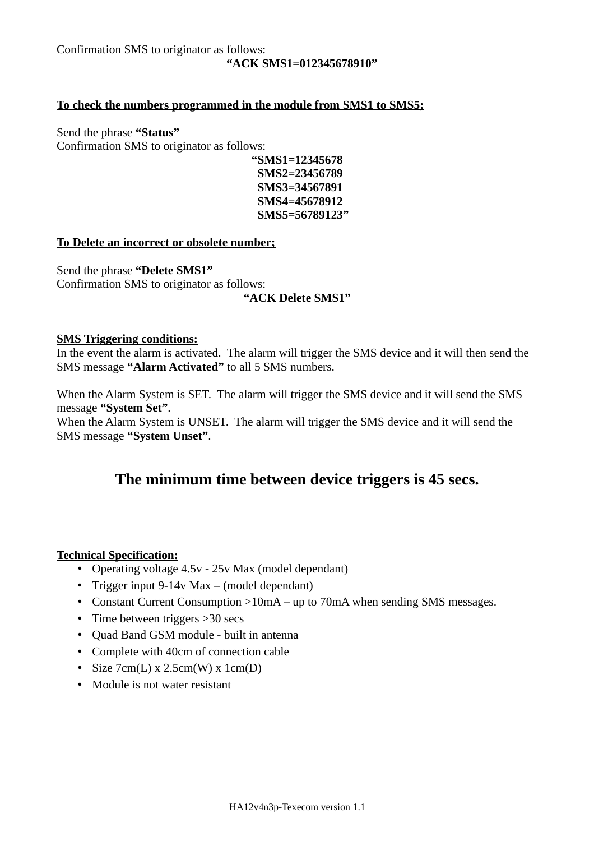Confirmation SMS to originator as follows:

#### **"ACK SMS1=012345678910"**

#### **To check the numbers programmed in the module from SMS1 to SMS5;**

Send the phrase **"Status"** Confirmation SMS to originator as follows:

**"SMS1=12345678 SMS2=23456789 SMS3=34567891 SMS4=45678912 SMS5=56789123"**

#### **To Delete an incorrect or obsolete number;**

Send the phrase **"Delete SMS1"** Confirmation SMS to originator as follows:

#### **"ACK Delete SMS1"**

#### **SMS Triggering conditions:**

In the event the alarm is activated. The alarm will trigger the SMS device and it will then send the SMS message **"Alarm Activated"** to all 5 SMS numbers.

When the Alarm System is SET. The alarm will trigger the SMS device and it will send the SMS message **"System Set"**.

When the Alarm System is UNSET. The alarm will trigger the SMS device and it will send the SMS message **"System Unset"**.

## **The minimum time between device triggers is 45 secs.**

#### **Technical Specification:**

- Operating voltage 4.5v 25v Max (model dependant)
- Trigger input 9-14v Max (model dependant)
- Constant Current Consumption >10mA up to 70mA when sending SMS messages.
- Time between triggers > 30 secs
- Quad Band GSM module built in antenna
- Complete with 40cm of connection cable
- Size  $7cm(L) \times 2.5cm(W) \times 1cm(D)$
- Module is not water resistant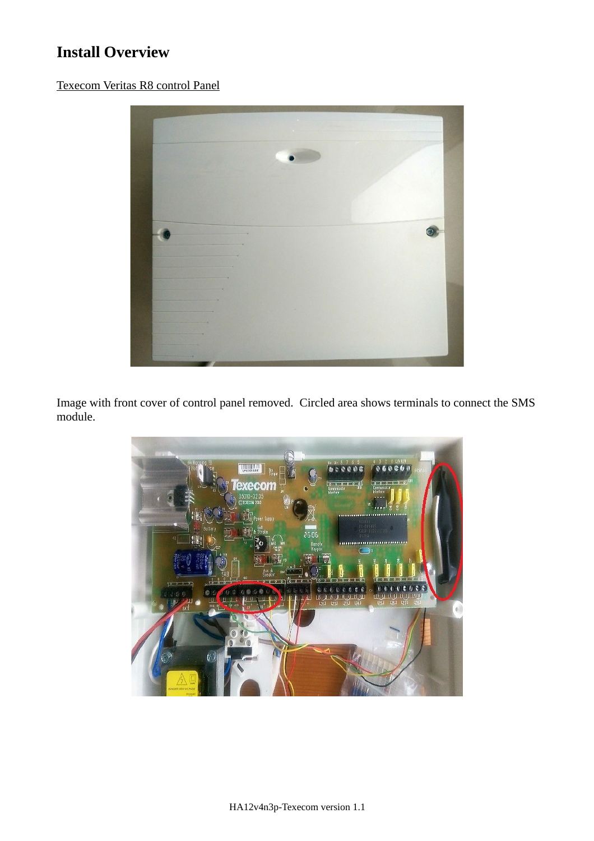# **Install Overview**

Texecom Veritas R8 control Panel



Image with front cover of control panel removed. Circled area shows terminals to connect the SMS module.